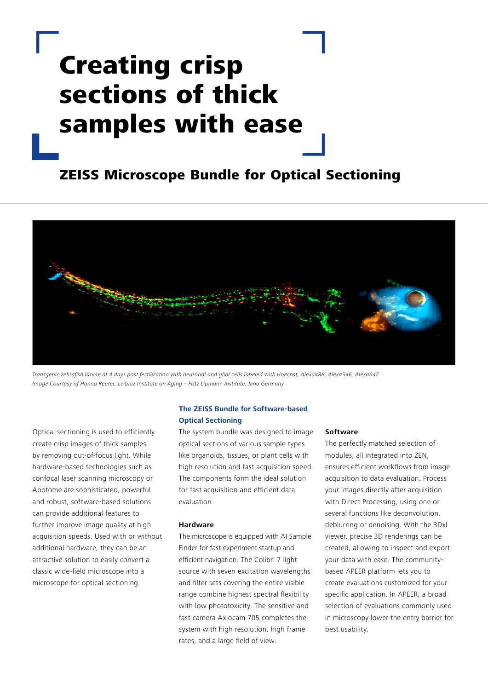# Creating crisp sections of thick samples with ease

## ZEISS Microscope Bundle for Optical Sectioning



Transgenic zebrafish larvae at 4 days post fertilization with neuronal and glial cells labeled with Hoechst, Alexa488, Alexa546, Alexa647. Image Courtesy of Hanna Reuter, Leibniz Institute on Aging – Fritz Lipmann Institute, Jena Germany

Optical sectioning is used to efficiently create crisp images of thick samples by removing out-of-focus light. While hardware-based technologies such as confocal laser scanning microscopy or Apotome are sophisticated, powerful and robust, software-based solutions can provide additional features to further improve image quality at high acquisition speeds. Used with or without additional hardware, they can be an attractive solution to easily convert a classic wide-field microscope into a microscope for optical sectioning.

### **The ZEISS Bundle for Software-based Optical Sectioning**

The system bundle was designed to image optical sections of various sample types like organoids, tissues, or plant cells with high resolution and fast acquisition speed. The components form the ideal solution for fast acquisition and efficient data evaluation.

#### **Hardware**

The microscope is equipped with AI Sample Finder for fast experiment startup and efficient navigation. The Colibri 7 light source with seven excitation wavelengths and filter sets covering the entire visible range combine highest spectral flexibility with low phototoxicity. The sensitive and fast camera Axiocam 705 completes the system with high resolution, high frame rates, and a large field of view.

#### **Software**

The perfectly matched selection of modules, all integrated into ZEN, ensures efficient workflows from image acquisition to data evaluation. Process your images directly after acquisition with Direct Processing, using one or several functions like deconvolution, deblurring or denoising. With the 3Dxl viewer, precise 3D renderings can be created, allowing to inspect and export your data with ease. The communitybased APEER platform lets you to create evaluations customized for your specific application. In APEER, a broad selection of evaluations commonly used in microscopy lower the entry barrier for best usability.